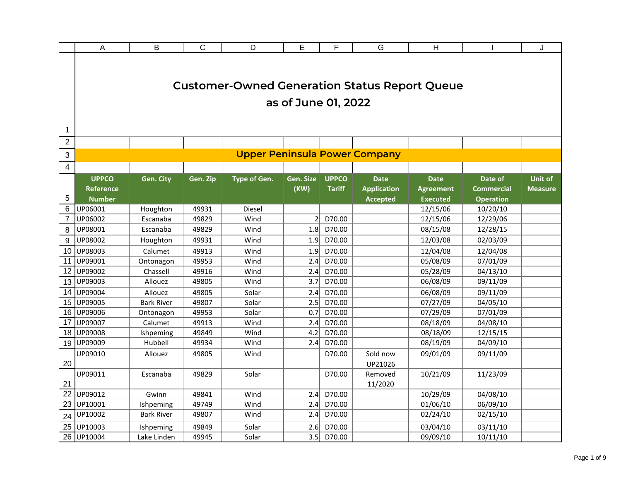|                   | A                                                 | B                 | $\overline{C}$ | D                                                    | E                   | F                             | G                                                    | H                                                  |                                                  | J                                |
|-------------------|---------------------------------------------------|-------------------|----------------|------------------------------------------------------|---------------------|-------------------------------|------------------------------------------------------|----------------------------------------------------|--------------------------------------------------|----------------------------------|
|                   |                                                   |                   |                | <b>Customer-Owned Generation Status Report Queue</b> | as of June 01, 2022 |                               |                                                      |                                                    |                                                  |                                  |
| 1<br>$\mathbf{2}$ |                                                   |                   |                |                                                      |                     |                               |                                                      |                                                    |                                                  |                                  |
| 3                 |                                                   |                   |                |                                                      |                     |                               | <b>Upper Peninsula Power Company</b>                 |                                                    |                                                  |                                  |
| 4                 |                                                   |                   |                |                                                      |                     |                               |                                                      |                                                    |                                                  |                                  |
| 5                 | <b>UPPCO</b><br><b>Reference</b><br><b>Number</b> | Gen. City         | Gen. Zip       | <b>Type of Gen.</b>                                  | Gen. Size<br>(KW)   | <b>UPPCO</b><br><b>Tariff</b> | <b>Date</b><br><b>Application</b><br><b>Accepted</b> | <b>Date</b><br><b>Agreement</b><br><b>Executed</b> | Date of<br><b>Commercial</b><br><b>Operation</b> | <b>Unit of</b><br><b>Measure</b> |
| 6                 | UP06001                                           | Houghton          | 49931          | Diesel                                               |                     |                               |                                                      | 12/15/06                                           | 10/20/10                                         |                                  |
| $\overline{7}$    | UP06002                                           | Escanaba          | 49829          | Wind                                                 | $\overline{2}$      | D70.00                        |                                                      | 12/15/06                                           | 12/29/06                                         |                                  |
| 8                 | UP08001                                           | Escanaba          | 49829          | Wind                                                 | 1.8                 | D70.00                        |                                                      | 08/15/08                                           | 12/28/15                                         |                                  |
| 9                 | UP08002                                           | Houghton          | 49931          | Wind                                                 | 1.9                 | D70.00                        |                                                      | 12/03/08                                           | 02/03/09                                         |                                  |
| 10                | UP08003                                           | Calumet           | 49913          | Wind                                                 | 1.9                 | D70.00                        |                                                      | 12/04/08                                           | 12/04/08                                         |                                  |
| 11                | UP09001                                           | Ontonagon         | 49953          | Wind                                                 | 2.4                 | D70.00                        |                                                      | 05/08/09                                           | 07/01/09                                         |                                  |
| 12                | UP09002                                           | Chassell          | 49916          | Wind                                                 | 2.4                 | D70.00                        |                                                      | 05/28/09                                           | 04/13/10                                         |                                  |
| 13                | UP09003                                           | Allouez           | 49805          | Wind                                                 | 3.7                 | D70.00                        |                                                      | 06/08/09                                           | 09/11/09                                         |                                  |
| 14                | UP09004                                           | Allouez           | 49805          | Solar                                                | 2.4                 | D70.00                        |                                                      | 06/08/09                                           | 09/11/09                                         |                                  |
| 15                | UP09005                                           | <b>Bark River</b> | 49807          | Solar                                                | 2.5                 | D70.00                        |                                                      | 07/27/09                                           | 04/05/10                                         |                                  |
| 16                | UP09006                                           | Ontonagon         | 49953          | Solar                                                | 0.7                 | D70.00                        |                                                      | 07/29/09                                           | 07/01/09                                         |                                  |
| 17                | UP09007                                           | Calumet           | 49913          | Wind                                                 | 2.4                 | D70.00                        |                                                      | 08/18/09                                           | 04/08/10                                         |                                  |
| 18                | UP09008                                           | Ishpeming         | 49849          | Wind                                                 | 4.2                 | D70.00                        |                                                      | 08/18/09                                           | 12/15/15                                         |                                  |
| 19                | UP09009                                           | Hubbell           | 49934          | Wind                                                 | 2.4                 | D70.00                        |                                                      | 08/19/09                                           | 04/09/10                                         |                                  |
| 20                | UP09010                                           | Allouez           | 49805          | Wind                                                 |                     | D70.00                        | Sold now<br>UP21026                                  | 09/01/09                                           | 09/11/09                                         |                                  |
| 21                | UP09011                                           | Escanaba          | 49829          | Solar                                                |                     | D70.00                        | Removed<br>11/2020                                   | 10/21/09                                           | 11/23/09                                         |                                  |
| 22                | UP09012                                           | Gwinn             | 49841          | Wind                                                 | 2.4                 | D70.00                        |                                                      | 10/29/09                                           | 04/08/10                                         |                                  |
| 23                | UP10001                                           | Ishpeming         | 49749          | Wind                                                 | 2.4                 | D70.00                        |                                                      | 01/06/10                                           | 06/09/10                                         |                                  |
| 24                | UP10002                                           | <b>Bark River</b> | 49807          | Wind                                                 | 2.4                 | D70.00                        |                                                      | 02/24/10                                           | 02/15/10                                         |                                  |
| 25                | UP10003                                           | Ishpeming         | 49849          | Solar                                                | 2.6                 | D70.00                        |                                                      | 03/04/10                                           | 03/11/10                                         |                                  |
| 26                | UP10004                                           | Lake Linden       | 49945          | Solar                                                | 3.5                 | D70.00                        |                                                      | 09/09/10                                           | 10/11/10                                         |                                  |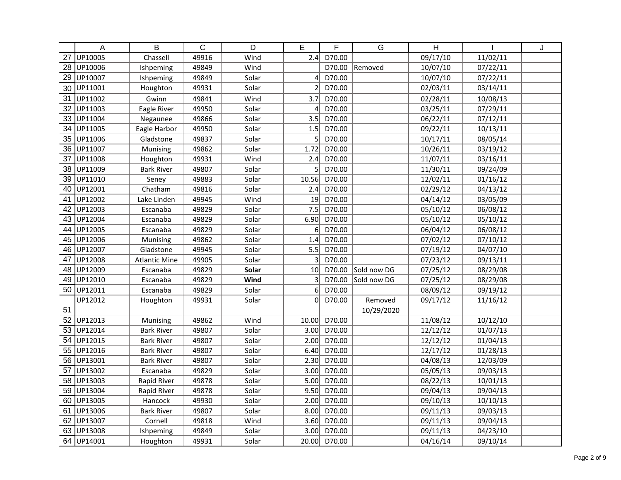|                 | A       | $\overline{\mathsf{B}}$ | $\mathsf C$ | D     | E              | F      | $\overline{G}$ | $\overline{H}$ |          | J |
|-----------------|---------|-------------------------|-------------|-------|----------------|--------|----------------|----------------|----------|---|
| 27              | UP10005 | Chassell                | 49916       | Wind  | 2.4            | D70.00 |                | 09/17/10       | 11/02/11 |   |
| 28              | UP10006 | Ishpeming               | 49849       | Wind  |                | D70.00 | Removed        | 10/07/10       | 07/22/11 |   |
| 29              | UP10007 | Ishpeming               | 49849       | Solar | 4              | D70.00 |                | 10/07/10       | 07/22/11 |   |
| 30              | UP11001 | Houghton                | 49931       | Solar | $\overline{2}$ | D70.00 |                | 02/03/11       | 03/14/11 |   |
| 31              | UP11002 | Gwinn                   | 49841       | Wind  | 3.7            | D70.00 |                | 02/28/11       | 10/08/13 |   |
| 32              | UP11003 | Eagle River             | 49950       | Solar | 4              | D70.00 |                | 03/25/11       | 07/29/11 |   |
| 33              | UP11004 | Negaunee                | 49866       | Solar | 3.5            | D70.00 |                | 06/22/11       | 07/12/11 |   |
| 34              | UP11005 | Eagle Harbor            | 49950       | Solar | 1.5            | D70.00 |                | 09/22/11       | 10/13/11 |   |
| 35              | UP11006 | Gladstone               | 49837       | Solar | 5              | D70.00 |                | 10/17/11       | 08/05/14 |   |
| 36              | UP11007 | Munising                | 49862       | Solar | 1.72           | D70.00 |                | 10/26/11       | 03/19/12 |   |
| 37              | UP11008 | Houghton                | 49931       | Wind  | 2.4            | D70.00 |                | 11/07/11       | 03/16/11 |   |
| 38              | UP11009 | <b>Bark River</b>       | 49807       | Solar | 5              | D70.00 |                | 11/30/11       | 09/24/09 |   |
| 39              | UP11010 | Seney                   | 49883       | Solar | 10.56          | D70.00 |                | 12/02/11       | 01/16/12 |   |
| 40              | UP12001 | Chatham                 | 49816       | Solar | 2.4            | D70.00 |                | 02/29/12       | 04/13/12 |   |
| 41              | UP12002 | Lake Linden             | 49945       | Wind  | 19             | D70.00 |                | 04/14/12       | 03/05/09 |   |
| 42              | UP12003 | Escanaba                | 49829       | Solar | 7.5            | D70.00 |                | 05/10/12       | 06/08/12 |   |
| 43              | UP12004 | Escanaba                | 49829       | Solar | 6.90           | D70.00 |                | 05/10/12       | 05/10/12 |   |
| 44              | UP12005 | Escanaba                | 49829       | Solar | 6              | D70.00 |                | 06/04/12       | 06/08/12 |   |
| 45              | UP12006 | Munising                | 49862       | Solar | 1.4            | D70.00 |                | 07/02/12       | 07/10/12 |   |
| 46              | UP12007 | Gladstone               | 49945       | Solar | 5.5            | D70.00 |                | 07/19/12       | 04/07/10 |   |
| 47              | UP12008 | <b>Atlantic Mine</b>    | 49905       | Solar | 3              | D70.00 |                | 07/23/12       | 09/13/11 |   |
| 48              | UP12009 | Escanaba                | 49829       | Solar | 10             | D70.00 | Sold now DG    | 07/25/12       | 08/29/08 |   |
| 49              | UP12010 | Escanaba                | 49829       | Wind  | 3              | D70.00 | Sold now DG    | 07/25/12       | 08/29/08 |   |
| 50              | UP12011 | Escanaba                | 49829       | Solar | 6              | D70.00 |                | 08/09/12       | 09/19/12 |   |
|                 | UP12012 | Houghton                | 49931       | Solar | 0              | D70.00 | Removed        | 09/17/12       | 11/16/12 |   |
| 51              |         |                         |             |       |                |        | 10/29/2020     |                |          |   |
| $\overline{52}$ | UP12013 | Munising                | 49862       | Wind  | 10.00          | D70.00 |                | 11/08/12       | 10/12/10 |   |
| 53              | UP12014 | <b>Bark River</b>       | 49807       | Solar | 3.00           | D70.00 |                | 12/12/12       | 01/07/13 |   |
| 54              | UP12015 | <b>Bark River</b>       | 49807       | Solar | 2.00           | D70.00 |                | 12/12/12       | 01/04/13 |   |
| 55              | UP12016 | <b>Bark River</b>       | 49807       | Solar | 6.40           | D70.00 |                | 12/17/12       | 01/28/13 |   |
| 56              | UP13001 | <b>Bark River</b>       | 49807       | Solar | 2.30           | D70.00 |                | 04/08/13       | 12/03/09 |   |
| 57              | UP13002 | Escanaba                | 49829       | Solar | 3.00           | D70.00 |                | 05/05/13       | 09/03/13 |   |
| 58              | UP13003 | Rapid River             | 49878       | Solar | 5.00           | D70.00 |                | 08/22/13       | 10/01/13 |   |
| 59              | UP13004 | Rapid River             | 49878       | Solar | 9.50           | D70.00 |                | 09/04/13       | 09/04/13 |   |
| 60              | UP13005 | Hancock                 | 49930       | Solar | 2.00           | D70.00 |                | 09/10/13       | 10/10/13 |   |
| 61              | UP13006 | <b>Bark River</b>       | 49807       | Solar | 8.00           | D70.00 |                | 09/11/13       | 09/03/13 |   |
| 62              | UP13007 | Cornell                 | 49818       | Wind  | 3.60           | D70.00 |                | 09/11/13       | 09/04/13 |   |
| 63              | UP13008 | Ishpeming               | 49849       | Solar | 3.00           | D70.00 |                | 09/11/13       | 04/23/10 |   |
| 64              | UP14001 | Houghton                | 49931       | Solar | 20.00          | D70.00 |                | 04/16/14       | 09/10/14 |   |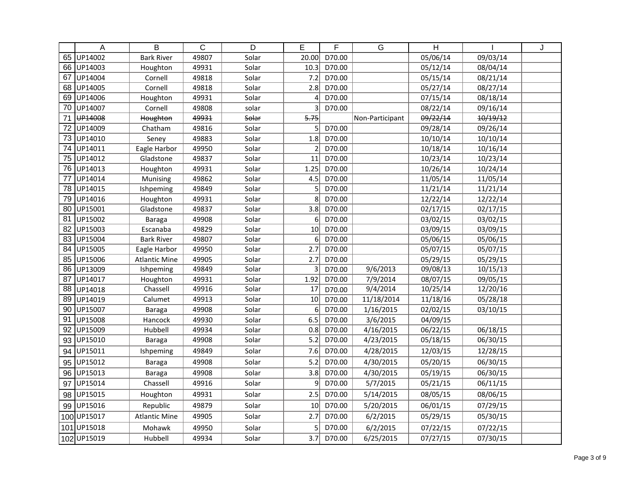|     | A           | B                    | C     | D     | E              | F      | G               | $\overline{\mathsf{H}}$ |          | J |
|-----|-------------|----------------------|-------|-------|----------------|--------|-----------------|-------------------------|----------|---|
| 65  | UP14002     | <b>Bark River</b>    | 49807 | Solar | 20.00          | D70.00 |                 | 05/06/14                | 09/03/14 |   |
| 66  | UP14003     | Houghton             | 49931 | Solar | 10.3           | D70.00 |                 | 05/12/14                | 08/04/14 |   |
| 67  | UP14004     | Cornell              | 49818 | Solar | 7.2            | D70.00 |                 | 05/15/14                | 08/21/14 |   |
| 68  | UP14005     | Cornell              | 49818 | Solar | 2.8            | D70.00 |                 | 05/27/14                | 08/27/14 |   |
| 69  | UP14006     | Houghton             | 49931 | Solar | Δ              | D70.00 |                 | 07/15/14                | 08/18/14 |   |
| 70  | UP14007     | Cornell              | 49808 | solar |                | D70.00 |                 | 08/22/14                | 09/16/14 |   |
| 71  | UP14008     | Houghton             | 49931 | Solar | 5.75           |        | Non-Participant | 09/22/14                | 10/19/12 |   |
| 72  | UP14009     | Chatham              | 49816 | Solar | 5              | D70.00 |                 | 09/28/14                | 09/26/14 |   |
| 73  | UP14010     | Seney                | 49883 | Solar | 1.8            | D70.00 |                 | 10/10/14                | 10/10/14 |   |
| 74  | UP14011     | Eagle Harbor         | 49950 | Solar | $\overline{2}$ | D70.00 |                 | 10/18/14                | 10/16/14 |   |
| 75  | UP14012     | Gladstone            | 49837 | Solar | 11             | D70.00 |                 | 10/23/14                | 10/23/14 |   |
| 76  | UP14013     | Houghton             | 49931 | Solar | 1.25           | D70.00 |                 | 10/26/14                | 10/24/14 |   |
| 77  | UP14014     | Munising             | 49862 | Solar | 4.5            | D70.00 |                 | 11/05/14                | 11/05/14 |   |
| 78  | UP14015     | Ishpeming            | 49849 | Solar | 5              | D70.00 |                 | 11/21/14                | 11/21/14 |   |
| 79  | UP14016     | Houghton             | 49931 | Solar | 8              | D70.00 |                 | 12/22/14                | 12/22/14 |   |
| 80  | UP15001     | Gladstone            | 49837 | Solar | 3.8            | D70.00 |                 | 02/17/15                | 02/17/15 |   |
| 81  | UP15002     | <b>Baraga</b>        | 49908 | Solar | 6 <sup>1</sup> | D70.00 |                 | 03/02/15                | 03/02/15 |   |
| 82  | UP15003     | Escanaba             | 49829 | Solar | 10             | D70.00 |                 | 03/09/15                | 03/09/15 |   |
| 83  | UP15004     | <b>Bark River</b>    | 49807 | Solar | 6              | D70.00 |                 | 05/06/15                | 05/06/15 |   |
| 84  | UP15005     | Eagle Harbor         | 49950 | Solar | 2.7            | D70.00 |                 | 05/07/15                | 05/07/15 |   |
| 85  | UP15006     | <b>Atlantic Mine</b> | 49905 | Solar | 2.7            | D70.00 |                 | 05/29/15                | 05/29/15 |   |
| 86  | UP13009     | Ishpeming            | 49849 | Solar | 3              | D70.00 | 9/6/2013        | 09/08/13                | 10/15/13 |   |
| 87  | UP14017     | Houghton             | 49931 | Solar | 1.92           | D70.00 | 7/9/2014        | 08/07/15                | 09/05/15 |   |
| 88  | UP14018     | Chassell             | 49916 | Solar | 17             | D70.00 | 9/4/2014        | 10/25/14                | 12/20/16 |   |
| 89  | UP14019     | Calumet              | 49913 | Solar | 10             | D70.00 | 11/18/2014      | 11/18/16                | 05/28/18 |   |
| 90  | UP15007     | Baraga               | 49908 | Solar | 6              | D70.00 | 1/16/2015       | 02/02/15                | 03/10/15 |   |
| 91  | UP15008     | Hancock              | 49930 | Solar | 6.5            | D70.00 | 3/6/2015        | 04/09/15                |          |   |
| 92  | UP15009     | Hubbell              | 49934 | Solar | 0.8            | D70.00 | 4/16/2015       | 06/22/15                | 06/18/15 |   |
| 93  | UP15010     | Baraga               | 49908 | Solar | 5.2            | D70.00 | 4/23/2015       | 05/18/15                | 06/30/15 |   |
| 94  | UP15011     | Ishpeming            | 49849 | Solar | 7.6            | D70.00 | 4/28/2015       | 12/03/15                | 12/28/15 |   |
| 95  | UP15012     | Baraga               | 49908 | Solar | 5.2            | D70.00 | 4/30/2015       | 05/20/15                | 06/30/15 |   |
| 96  | UP15013     | Baraga               | 49908 | Solar | 3.8            | D70.00 | 4/30/2015       | 05/19/15                | 06/30/15 |   |
| 97  | UP15014     | Chassell             | 49916 | Solar | 9              | D70.00 | 5/7/2015        | 05/21/15                | 06/11/15 |   |
| 98  | UP15015     | Houghton             | 49931 | Solar | 2.5            | D70.00 | 5/14/2015       | 08/05/15                | 08/06/15 |   |
| 99  | UP15016     | Republic             | 49879 | Solar | 10             | D70.00 | 5/20/2015       | 06/01/15                | 07/29/15 |   |
| 100 | UP15017     | <b>Atlantic Mine</b> | 49905 | Solar | 2.7            | D70.00 | 6/2/2015        | 05/29/15                | 05/30/15 |   |
| 101 | UP15018     | Mohawk               | 49950 | Solar | 5              | D70.00 | 6/2/2015        | 07/22/15                | 07/22/15 |   |
|     | 102 UP15019 | Hubbell              | 49934 | Solar | 3.7            | D70.00 | 6/25/2015       | 07/27/15                | 07/30/15 |   |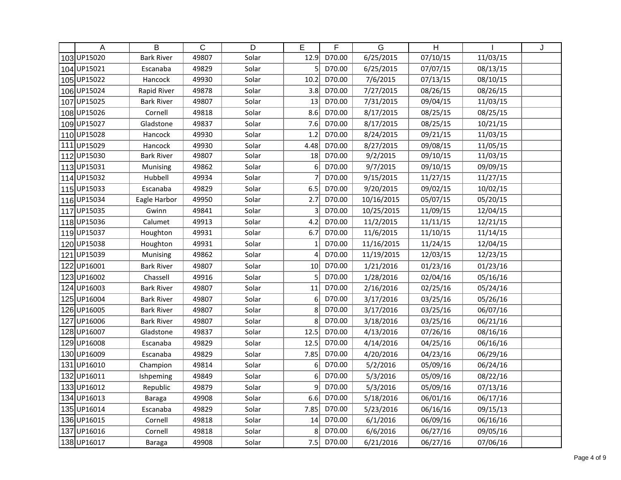|     | A           | B                 | $\mathsf{C}$ | D     | E            | F      | G          | $\overline{H}$ |          | J |
|-----|-------------|-------------------|--------------|-------|--------------|--------|------------|----------------|----------|---|
|     | 103UP15020  | <b>Bark River</b> | 49807        | Solar | 12.9         | D70.00 | 6/25/2015  | 07/10/15       | 11/03/15 |   |
|     | 104 UP15021 | Escanaba          | 49829        | Solar | 5            | D70.00 | 6/25/2015  | 07/07/15       | 08/13/15 |   |
|     | 105UP15022  | Hancock           | 49930        | Solar | 10.2         | D70.00 | 7/6/2015   | 07/13/15       | 08/10/15 |   |
|     | 106 UP15024 | Rapid River       | 49878        | Solar | 3.8          | D70.00 | 7/27/2015  | 08/26/15       | 08/26/15 |   |
| 107 | UP15025     | <b>Bark River</b> | 49807        | Solar | 13           | D70.00 | 7/31/2015  | 09/04/15       | 11/03/15 |   |
|     | 108 UP15026 | Cornell           | 49818        | Solar | 8.6          | D70.00 | 8/17/2015  | 08/25/15       | 08/25/15 |   |
|     | 109UP15027  | Gladstone         | 49837        | Solar | 7.6          | D70.00 | 8/17/2015  | 08/25/15       | 10/21/15 |   |
|     | 110 UP15028 | Hancock           | 49930        | Solar | 1.2          | D70.00 | 8/24/2015  | 09/21/15       | 11/03/15 |   |
|     | 111 UP15029 | Hancock           | 49930        | Solar | 4.48         | D70.00 | 8/27/2015  | 09/08/15       | 11/05/15 |   |
|     | 112UP15030  | <b>Bark River</b> | 49807        | Solar | 18           | D70.00 | 9/2/2015   | 09/10/15       | 11/03/15 |   |
|     | 113UP15031  | Munising          | 49862        | Solar | 6            | D70.00 | 9/7/2015   | 09/10/15       | 09/09/15 |   |
|     | 114 UP15032 | Hubbell           | 49934        | Solar |              | D70.00 | 9/15/2015  | 11/27/15       | 11/27/15 |   |
|     | 115UP15033  | Escanaba          | 49829        | Solar | 6.5          | D70.00 | 9/20/2015  | 09/02/15       | 10/02/15 |   |
|     | 116 UP15034 | Eagle Harbor      | 49950        | Solar | 2.7          | D70.00 | 10/16/2015 | 05/07/15       | 05/20/15 |   |
| 117 | UP15035     | Gwinn             | 49841        | Solar | 3            | D70.00 | 10/25/2015 | 11/09/15       | 12/04/15 |   |
|     | 118UP15036  | Calumet           | 49913        | Solar | 4.2          | D70.00 | 11/2/2015  | 11/11/15       | 12/21/15 |   |
|     | 119UP15037  | Houghton          | 49931        | Solar | 6.7          | D70.00 | 11/6/2015  | 11/10/15       | 11/14/15 |   |
|     | 120 UP15038 | Houghton          | 49931        | Solar | $\mathbf{1}$ | D70.00 | 11/16/2015 | 11/24/15       | 12/04/15 |   |
| 121 | UP15039     | Munising          | 49862        | Solar | 4            | D70.00 | 11/19/2015 | 12/03/15       | 12/23/15 |   |
| 122 | UP16001     | <b>Bark River</b> | 49807        | Solar | 10           | D70.00 | 1/21/2016  | 01/23/16       | 01/23/16 |   |
| 123 | UP16002     | Chassell          | 49916        | Solar | 5            | D70.00 | 1/28/2016  | 02/04/16       | 05/16/16 |   |
| 124 | UP16003     | <b>Bark River</b> | 49807        | Solar | 11           | D70.00 | 2/16/2016  | 02/25/16       | 05/24/16 |   |
| 125 | UP16004     | <b>Bark River</b> | 49807        | Solar | 6            | D70.00 | 3/17/2016  | 03/25/16       | 05/26/16 |   |
|     | 126 UP16005 | <b>Bark River</b> | 49807        | Solar | 8            | D70.00 | 3/17/2016  | 03/25/16       | 06/07/16 |   |
| 127 | UP16006     | <b>Bark River</b> | 49807        | Solar | 8            | D70.00 | 3/18/2016  | 03/25/16       | 06/21/16 |   |
| 128 | UP16007     | Gladstone         | 49837        | Solar | 12.5         | D70.00 | 4/13/2016  | 07/26/16       | 08/16/16 |   |
|     | 129UP16008  | Escanaba          | 49829        | Solar | 12.5         | D70.00 | 4/14/2016  | 04/25/16       | 06/16/16 |   |
|     | 130UP16009  | Escanaba          | 49829        | Solar | 7.85         | D70.00 | 4/20/2016  | 04/23/16       | 06/29/16 |   |
| 131 | UP16010     | Champion          | 49814        | Solar | 6            | D70.00 | 5/2/2016   | 05/09/16       | 06/24/16 |   |
| 132 | UP16011     | Ishpeming         | 49849        | Solar | 6            | D70.00 | 5/3/2016   | 05/09/16       | 08/22/16 |   |
|     | 133UP16012  | Republic          | 49879        | Solar | 9            | D70.00 | 5/3/2016   | 05/09/16       | 07/13/16 |   |
|     | 134 UP16013 | Baraga            | 49908        | Solar | 6.6          | D70.00 | 5/18/2016  | 06/01/16       | 06/17/16 |   |
|     | 135 UP16014 | Escanaba          | 49829        | Solar | 7.85         | D70.00 | 5/23/2016  | 06/16/16       | 09/15/13 |   |
|     | 136UP16015  | Cornell           | 49818        | Solar | 14           | D70.00 | 6/1/2016   | 06/09/16       | 06/16/16 |   |
| 137 | UP16016     | Cornell           | 49818        | Solar | 8            | D70.00 | 6/6/2016   | 06/27/16       | 09/05/16 |   |
|     | 138UP16017  | <b>Baraga</b>     | 49908        | Solar | 7.5          | D70.00 | 6/21/2016  | 06/27/16       | 07/06/16 |   |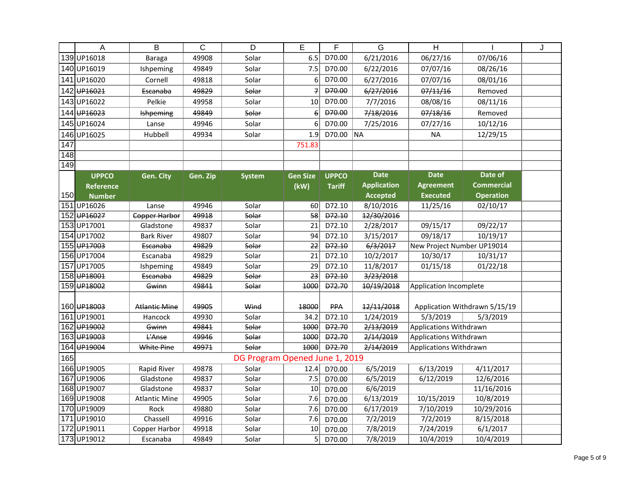|     | A                       | B                    | C        | D                              | E               | F             | G                  | H                          |                               | J |
|-----|-------------------------|----------------------|----------|--------------------------------|-----------------|---------------|--------------------|----------------------------|-------------------------------|---|
|     | 139UP16018              | <b>Baraga</b>        | 49908    | Solar                          | 6.5             | D70.00        | 6/21/2016          | 06/27/16                   | 07/06/16                      |   |
|     | 140 UP16019             | Ishpeming            | 49849    | Solar                          | 7.5             | D70.00        | 6/22/2016          | 07/07/16                   | 08/26/16                      |   |
| 141 | UP16020                 | Cornell              | 49818    | Solar                          | 6               | D70.00        | 6/27/2016          | 07/07/16                   | 08/01/16                      |   |
| 142 | UP16021                 | Escanaba             | 49829    | Solar                          | $\overline{f}$  | D70.00        | 6/27/2016          | 07/11/16                   | Removed                       |   |
|     | 143UP16022              | Pelkie               | 49958    | Solar                          | 10              | D70.00        | 7/7/2016           | 08/08/16                   | 08/11/16                      |   |
|     | 144 UP <sub>16023</sub> | <b>Ishpeming</b>     | 49849    | Solar                          | $\epsilon$      | D70.00        | 7/18/2016          | 07/18/16                   | Removed                       |   |
|     | 145UP16024              | Lanse                | 49946    | Solar                          | 6               | D70.00        | 7/25/2016          | 07/27/16                   | 10/12/16                      |   |
|     | 146UP16025              | Hubbell              | 49934    | Solar                          | 1.9             | D70.00        | <b>NA</b>          | <b>NA</b>                  | 12/29/15                      |   |
| 147 |                         |                      |          |                                | 751.83          |               |                    |                            |                               |   |
| 148 |                         |                      |          |                                |                 |               |                    |                            |                               |   |
| 149 |                         |                      |          |                                |                 |               |                    |                            |                               |   |
|     | <b>UPPCO</b>            | Gen. City            | Gen. Zip | <b>System</b>                  | <b>Gen Size</b> | <b>UPPCO</b>  | <b>Date</b>        | <b>Date</b>                | Date of                       |   |
|     | <b>Reference</b>        |                      |          |                                | (kW)            | <b>Tariff</b> | <b>Application</b> | <b>Agreement</b>           | <b>Commercial</b>             |   |
| 150 | <b>Number</b>           |                      |          |                                |                 |               | <b>Accepted</b>    | <b>Executed</b>            | <b>Operation</b>              |   |
| 151 | UP16026                 | Lanse                | 49946    | Solar                          | 60              | D72.10        | 8/10/2016          | 11/25/16                   | 02/10/17                      |   |
|     | 152 UP <sub>16027</sub> | <b>Copper Harbor</b> | 49918    | Solar                          | $\overline{58}$ | D72.10        | 12/30/2016         |                            |                               |   |
|     | 153UP17001              | Gladstone            | 49837    | Solar                          | 21              | D72.10        | 2/28/2017          | 09/15/17                   | 09/22/17                      |   |
|     | 154 UP17002             | <b>Bark River</b>    | 49807    | Solar                          | 94              | D72.10        | 3/15/2017          | 09/18/17                   | 10/19/17                      |   |
|     | 155 UP <sub>17003</sub> | Escanaba             | 49829    | Solar                          | 22              | Đ72.10        | 6/3/2017           | New Project Number UP19014 |                               |   |
|     | 156UP17004              | Escanaba             | 49829    | Solar                          | 21              | D72.10        | 10/2/2017          | 10/30/17                   | 10/31/17                      |   |
| 157 | UP17005                 | Ishpeming            | 49849    | Solar                          | 29              | D72.10        | 11/8/2017          | 01/15/18                   | 01/22/18                      |   |
|     | 158 UP <sub>18001</sub> | Escanaba             | 49829    | Solar                          | 23              | D72.10        | 3/23/2018          |                            |                               |   |
|     | 159 <del>UP18002</del>  | Gwinn                | 49841    | Solar                          | 1000            | Đ72.70        | 10/19/2018         | Application Incomplete     |                               |   |
|     |                         |                      |          |                                |                 |               |                    |                            |                               |   |
|     | 160 UP <sub>18003</sub> | <b>Atlantic Mine</b> | 49905    | Wind                           | 18000           | <b>PPA</b>    | 12/11/2018         |                            | Application Withdrawn 5/15/19 |   |
|     | 161UP19001              | Hancock              | 49930    | Solar                          | 34.2            | D72.10        | 1/24/2019          | 5/3/2019                   | 5/3/2019                      |   |
|     | 162 UP <sub>19002</sub> | Gwinn                | 49841    | Solar                          | 1000            | D72.70        | 2/13/2019          | Applications Withdrawn     |                               |   |
|     | 163 UP <sub>19003</sub> | L'Anse               | 49946    | Solar                          | 1000            | D72.70        | 2/14/2019          | Applications Withdrawn     |                               |   |
|     | 164 UP19004             | White Pine           | 49971    | Solar                          | 1000            | <b>D72.70</b> | 2/14/2019          | Applications Withdrawn     |                               |   |
| 165 |                         |                      |          | DG Program Opened June 1, 2019 |                 |               |                    |                            |                               |   |
|     | 166UP19005              | Rapid River          | 49878    | Solar                          | 12.4            | D70.00        | 6/5/2019           | 6/13/2019                  | 4/11/2017                     |   |
|     | 167UP19006              | Gladstone            | 49837    | Solar                          | 7.5             | D70.00        | 6/5/2019           | 6/12/2019                  | 12/6/2016                     |   |
|     | 168 UP19007             | Gladstone            | 49837    | Solar                          | 10              | D70.00        | 6/6/2019           |                            | 11/16/2016                    |   |
|     | 169UP19008              | <b>Atlantic Mine</b> | 49905    | Solar                          | 7.6             | D70.00        | 6/13/2019          | 10/15/2019                 | 10/8/2019                     |   |
|     | 170 UP19009             | Rock                 | 49880    | Solar                          | 7.6             | D70.00        | 6/17/2019          | 7/10/2019                  | 10/29/2016                    |   |
|     | 171UP19010              | Chassell             | 49916    | Solar                          | 7.6             | D70.00        | 7/2/2019           | 7/2/2019                   | 8/15/2018                     |   |
|     | 172UP19011              | Copper Harbor        | 49918    | Solar                          | 10              | D70.00        | 7/8/2019           | 7/24/2019                  | 6/1/2017                      |   |
|     | 173UP19012              | Escanaba             | 49849    | Solar                          | 5               | D70.00        | 7/8/2019           | 10/4/2019                  | 10/4/2019                     |   |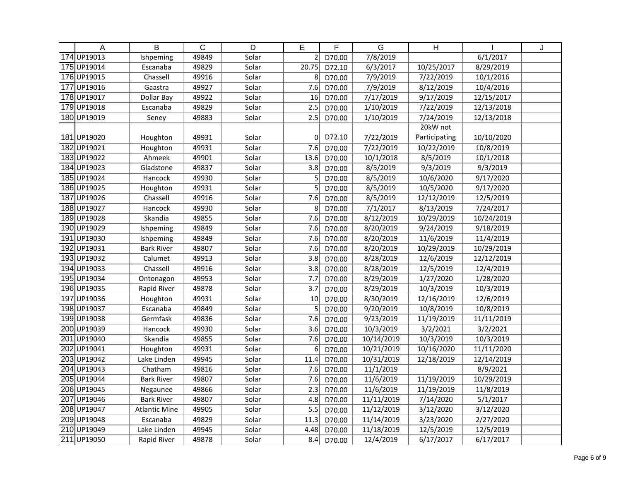|     | A           | B                    | $\overline{C}$ | D     | E                | F      | $\overline{G}$ | H                    |            | J |
|-----|-------------|----------------------|----------------|-------|------------------|--------|----------------|----------------------|------------|---|
|     | 174 UP19013 | Ishpeming            | 49849          | Solar | $\overline{2}$   | D70.00 | 7/8/2019       |                      | 6/1/2017   |   |
|     | 175 UP19014 | Escanaba             | 49829          | Solar | 20.75            | D72.10 | 6/3/2017       | 10/25/2017           | 8/29/2019  |   |
|     | 176UP19015  | Chassell             | 49916          | Solar | 8                | D70.00 | 7/9/2019       | 7/22/2019            | 10/1/2016  |   |
| 177 | UP19016     | Gaastra              | 49927          | Solar | 7.6              | D70.00 | 7/9/2019       | 8/12/2019            | 10/4/2016  |   |
|     | 178 UP19017 | Dollar Bay           | 49922          | Solar | 16               | D70.00 | 7/17/2019      | 9/17/2019            | 12/15/2017 |   |
|     | 179UP19018  | Escanaba             | 49829          | Solar | 2.5              | D70.00 | 1/10/2019      | 7/22/2019            | 12/13/2018 |   |
|     | 180UP19019  | Seney                | 49883          | Solar | 2.5              | D70.00 | 1/10/2019      | 7/24/2019            | 12/13/2018 |   |
|     |             |                      |                |       |                  |        |                | 20kW not             |            |   |
|     | 181UP19020  | Houghton             | 49931          | Solar | 0                | D72.10 | 7/22/2019      | Participating        | 10/10/2020 |   |
|     | 182UP19021  | Houghton             | 49931          | Solar | 7.6              | D70.00 | 7/22/2019      | 10/22/2019           | 10/8/2019  |   |
|     | 183UP19022  | Ahmeek               | 49901          | Solar | 13.6             | D70.00 | 10/1/2018      | 8/5/2019             | 10/1/2018  |   |
|     | 184 UP19023 | Gladstone            | 49837          | Solar | 3.8              | D70.00 | 8/5/2019       | $\frac{1}{9/3/2019}$ | 9/3/2019   |   |
|     | 185UP19024  | Hancock              | 49930          | Solar | 5                | D70.00 | 8/5/2019       | 10/6/2020            | 9/17/2020  |   |
|     | 186UP19025  | Houghton             | 49931          | Solar | 5                | D70.00 | 8/5/2019       | 10/5/2020            | 9/17/2020  |   |
|     | 187UP19026  | Chassell             | 49916          | Solar | 7.6              | D70.00 | 8/5/2019       | 12/12/2019           | 12/5/2019  |   |
|     | 188UP19027  | Hancock              | 49930          | Solar | 8                | D70.00 | 7/1/2017       | 8/13/2019            | 7/24/2017  |   |
|     | 189UP19028  | Skandia              | 49855          | Solar | 7.6              | D70.00 | 8/12/2019      | 10/29/2019           | 10/24/2019 |   |
|     | 190UP19029  | Ishpeming            | 49849          | Solar | 7.6              | D70.00 | 8/20/2019      | 9/24/2019            | 9/18/2019  |   |
|     | 191 UP19030 | Ishpeming            | 49849          | Solar | 7.6              | D70.00 | 8/20/2019      | 11/6/2019            | 11/4/2019  |   |
|     | 192UP19031  | <b>Bark River</b>    | 49807          | Solar | 7.6              | D70.00 | 8/20/2019      | 10/29/2019           | 10/29/2019 |   |
|     | 193UP19032  | Calumet              | 49913          | Solar | 3.8              | D70.00 | 8/28/2019      | 12/6/2019            | 12/12/2019 |   |
|     | 194 UP19033 | Chassell             | 49916          | Solar | 3.8              | D70.00 | 8/28/2019      | 12/5/2019            | 12/4/2019  |   |
|     | 195 UP19034 | Ontonagon            | 49953          | Solar | 7.7              | D70.00 | 8/29/2019      | 1/27/2020            | 1/28/2020  |   |
|     | 196 UP19035 | Rapid River          | 49878          | Solar | 3.7              | D70.00 | 8/29/2019      | 10/3/2019            | 10/3/2019  |   |
| 197 | UP19036     | Houghton             | 49931          | Solar | 10               | D70.00 | 8/30/2019      | 12/16/2019           | 12/6/2019  |   |
|     | 198UP19037  | Escanaba             | 49849          | Solar | 5                | D70.00 | 9/20/2019      | 10/8/2019            | 10/8/2019  |   |
|     | 199UP19038  | Germfask             | 49836          | Solar | 7.6              | D70.00 | 9/23/2019      | 11/19/2019           | 11/11/2019 |   |
|     | 200 UP19039 | Hancock              | 49930          | Solar | $\overline{3.6}$ | D70.00 | 10/3/2019      | 3/2/2021             | 3/2/2021   |   |
|     | 201 UP19040 | Skandia              | 49855          | Solar | 7.6              | D70.00 | 10/14/2019     | 10/3/2019            | 10/3/2019  |   |
|     | 202 UP19041 | Houghton             | 49931          | Solar | 6                | D70.00 | 10/21/2019     | 10/16/2020           | 11/11/2020 |   |
|     | 203UP19042  | Lake Linden          | 49945          | Solar | 11.4             | D70.00 | 10/31/2019     | 12/18/2019           | 12/14/2019 |   |
|     | 204 UP19043 | Chatham              | 49816          | Solar | 7.6              | D70.00 | 11/1/2019      |                      | 8/9/2021   |   |
|     | 205 UP19044 | <b>Bark River</b>    | 49807          | Solar | 7.6              | D70.00 | 11/6/2019      | 11/19/2019           | 10/29/2019 |   |
|     | 206 UP19045 | Negaunee             | 49866          | Solar | 2.3              | D70.00 | 11/6/2019      | 11/19/2019           | 11/8/2019  |   |
| 207 | UP19046     | <b>Bark River</b>    | 49807          | Solar | 4.8              | D70.00 | 11/11/2019     | 7/14/2020            | 5/1/2017   |   |
|     | 208 UP19047 | <b>Atlantic Mine</b> | 49905          | Solar | 5.5              | D70.00 | 11/12/2019     | 3/12/2020            | 3/12/2020  |   |
|     | 209 UP19048 | Escanaba             | 49829          | Solar | 11.3             | D70.00 | 11/14/2019     | 3/23/2020            | 2/27/2020  |   |
|     | 210 UP19049 | Lake Linden          | 49945          | Solar | 4.48             | D70.00 | 11/18/2019     | 12/5/2019            | 12/5/2019  |   |
|     | 211 UP19050 | Rapid River          | 49878          | Solar | 8.4              | D70.00 | 12/4/2019      | 6/17/2017            | 6/17/2017  |   |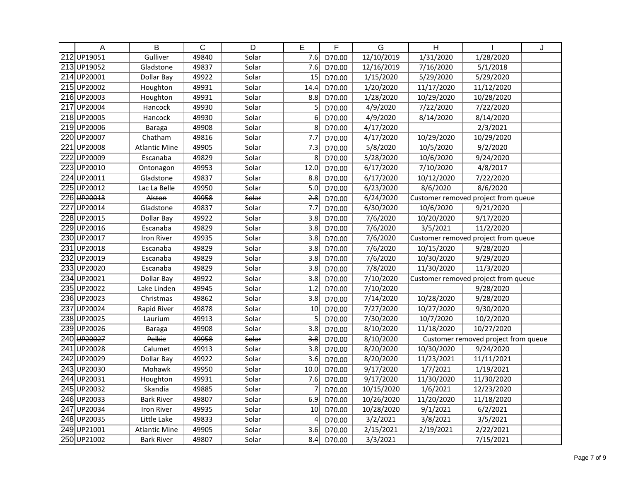|                  | A                       | B                    | C     | D                         | E    | F      | $\overline{G}$ | $\mathsf{H}$ |                                     | J |
|------------------|-------------------------|----------------------|-------|---------------------------|------|--------|----------------|--------------|-------------------------------------|---|
| 212              | UP19051                 | Gulliver             | 49840 | Solar                     | 7.6  | D70.00 | 12/10/2019     | 1/31/2020    | 1/28/2020                           |   |
|                  | 213UP19052              | Gladstone            | 49837 | Solar                     | 7.6  | D70.00 | 12/16/2019     | 7/16/2020    | 5/1/2018                            |   |
|                  | 214 UP20001             | Dollar Bay           | 49922 | Solar                     | 15   | D70.00 | 1/15/2020      | 5/29/2020    | 5/29/2020                           |   |
|                  | 215UP20002              | Houghton             | 49931 | Solar                     | 14.4 | D70.00 | 1/20/2020      | 11/17/2020   | 11/12/2020                          |   |
|                  | 216UP20003              | Houghton             | 49931 | Solar                     | 8.8  | D70.00 | 1/28/2020      | 10/29/2020   | 10/28/2020                          |   |
| $\overline{217}$ | UP20004                 | Hancock              | 49930 | Solar                     | 5    | D70.00 | 4/9/2020       | 7/22/2020    | 7/22/2020                           |   |
|                  | 218UP20005              | Hancock              | 49930 | Solar                     | 6    | D70.00 | 4/9/2020       | 8/14/2020    | 8/14/2020                           |   |
|                  | 219UP20006              | Baraga               | 49908 | Solar                     | 8    | D70.00 | 4/17/2020      |              | 2/3/2021                            |   |
|                  | 220UP20007              | Chatham              | 49816 | Solar                     | 7.7  | D70.00 | 4/17/2020      | 10/29/2020   | 10/29/2020                          |   |
| 221              | UP20008                 | <b>Atlantic Mine</b> | 49905 | Solar                     | 7.3  | D70.00 | 5/8/2020       | 10/5/2020    | 9/2/2020                            |   |
| 222              | UP20009                 | Escanaba             | 49829 | Solar                     | 8    | D70.00 | 5/28/2020      | 10/6/2020    | 9/24/2020                           |   |
| 223              | UP20010                 | Ontonagon            | 49953 | Solar                     | 12.0 | D70.00 | 6/17/2020      | 7/10/2020    | $\frac{4}{8}$ /2017                 |   |
| 224              | UP20011                 | Gladstone            | 49837 | Solar                     | 8.8  | D70.00 | 6/17/2020      | 10/12/2020   | 7/22/2020                           |   |
|                  | 225 UP20012             | Lac La Belle         | 49950 | Solar                     | 5.0  | D70.00 | 6/23/2020      | 8/6/2020     | 8/6/2020                            |   |
|                  | 226 UP <sub>20013</sub> | Alston               | 49958 | Solar                     | 2.8  | D70.00 | 6/24/2020      |              | Customer removed project from queue |   |
| 227              | UP20014                 | Gladstone            | 49837 | Solar                     | 7.7  | D70.00 | 6/30/2020      | 10/6/2020    | 9/21/2020                           |   |
|                  | 228 UP20015             | Dollar Bay           | 49922 | Solar                     | 3.8  | D70.00 | 7/6/2020       | 10/20/2020   | 9/17/2020                           |   |
| 229              | UP20016                 | Escanaba             | 49829 | Solar                     | 3.8  | D70.00 | 7/6/2020       | 3/5/2021     | 11/2/2020                           |   |
|                  | 230 UP20017             | <b>Iron River</b>    | 49935 | Solar                     | 3.8  | D70.00 | 7/6/2020       |              | Customer removed project from queue |   |
| 231              | UP20018                 | Escanaba             | 49829 | Solar                     | 3.8  | D70.00 | 7/6/2020       | 10/15/2020   | 9/28/2020                           |   |
| 232              | UP20019                 | Escanaba             | 49829 | Solar                     | 3.8  | D70.00 | 7/6/2020       | 10/30/2020   | 9/29/2020                           |   |
|                  | 233UP20020              | Escanaba             | 49829 | Solar                     | 3.8  | D70.00 | 7/8/2020       | 11/30/2020   | 11/3/2020                           |   |
| 234              | UP20021                 | Dollar Bay           | 49922 | Solar                     | 3.8  | D70.00 | 7/10/2020      |              | Customer removed project from queue |   |
|                  | 235 UP20022             | Lake Linden          | 49945 | Solar                     | 1.2  | D70.00 | 7/10/2020      |              | 9/28/2020                           |   |
|                  | 236 UP20023             | Christmas            | 49862 | Solar                     | 3.8  | D70.00 | 7/14/2020      | 10/28/2020   | 9/28/2020                           |   |
| 237              | UP20024                 | Rapid River          | 49878 | Solar                     | 10   | D70.00 | 7/27/2020      | 10/27/2020   | 9/30/2020                           |   |
|                  | 238UP20025              | Laurium              | 49913 | Solar                     | 5    | D70.00 | 7/30/2020      | 10/7/2020    | 10/2/2020                           |   |
|                  | 239UP20026              | Baraga               | 49908 | Solar                     | 3.8  | D70.00 | 8/10/2020      | 11/18/2020   | 10/27/2020                          |   |
|                  | 240 UP20027             | Pelkie               | 49958 | Solar                     | 3.8  | D70.00 | 8/10/2020      |              | Customer removed project from queue |   |
|                  | 241 UP20028             | Calumet              | 49913 | Solar                     | 3.8  | D70.00 | 8/20/2020      | 10/30/2020   | 9/24/2020                           |   |
| $\overline{242}$ | UP20029                 | Dollar Bay           | 49922 | Solar                     | 3.6  | D70.00 | 8/20/2020      | 11/23/2021   | 11/11/2021                          |   |
| 243              | UP20030                 | Mohawk               | 49950 | Solar                     | 10.0 | D70.00 | 9/17/2020      | 1/7/2021     | 1/19/2021                           |   |
| 244              | UP20031                 | Houghton             | 49931 | $\overline{\text{Solar}}$ | 7.6  | D70.00 | 9/17/2020      | 11/30/2020   | 11/30/2020                          |   |
|                  | 245 UP20032             | Skandia              | 49885 | Solar                     |      | D70.00 | 10/15/2020     | 1/6/2021     | 12/23/2020                          |   |
|                  | 246 UP20033             | <b>Bark River</b>    | 49807 | Solar                     | 6.9  | D70.00 | 10/26/2020     | 11/20/2020   | 11/18/2020                          |   |
| 247              | UP20034                 | Iron River           | 49935 | Solar                     | 10   | D70.00 | 10/28/2020     | 9/1/2021     | 6/2/2021                            |   |
|                  | 248UP20035              | Little Lake          | 49833 | Solar                     | 4    | D70.00 | 3/2/2021       | 3/8/2021     | 3/5/2021                            |   |
|                  | 249 UP21001             | <b>Atlantic Mine</b> | 49905 | Solar                     | 3.6  | D70.00 | 2/15/2021      | 2/19/2021    | 2/22/2021                           |   |
|                  | 250 UP21002             | <b>Bark River</b>    | 49807 | Solar                     | 8.4  | D70.00 | 3/3/2021       |              | 7/15/2021                           |   |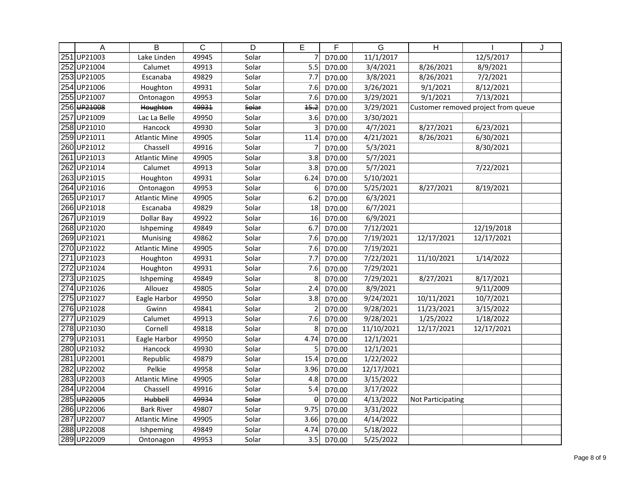|                  | $\overline{A}$ | $\overline{B}$       | $\overline{C}$ | $\overline{D}$ | E                | F      | $\overline{G}$       | $\overline{H}$           |                                     | J |
|------------------|----------------|----------------------|----------------|----------------|------------------|--------|----------------------|--------------------------|-------------------------------------|---|
| 251              | UP21003        | Lake Linden          | 49945          | Solar          | 7                | D70.00 | 11/1/2017            |                          | 12/5/2017                           |   |
| 252              | UP21004        | Calumet              | 49913          | Solar          | $\overline{5.5}$ | D70.00 | 3/4/2021             | 8/26/2021                | 8/9/2021                            |   |
| 253              | UP21005        | Escanaba             | 49829          | Solar          | 7.7              | D70.00 | 3/8/2021             | 8/26/2021                | 7/2/2021                            |   |
| 254              | UP21006        | Houghton             | 49931          | Solar          | 7.6              | D70.00 | 3/26/2021            | 9/1/2021                 | 8/12/2021                           |   |
| 255              | UP21007        | Ontonagon            | 49953          | Solar          | 7.6              | D70.00 | 3/29/2021            | 9/1/2021                 | 7/13/2021                           |   |
|                  | 256 UP21008    | Houghton             | 49931          | Solar          | 15.2             | D70.00 | 3/29/2021            |                          | Customer removed project from queue |   |
| 257              | UP21009        | Lac La Belle         | 49950          | Solar          | $\overline{3.6}$ | D70.00 | 3/30/2021            |                          |                                     |   |
|                  | 258UP21010     | Hancock              | 49930          | Solar          | 3                | D70.00 | 4/7/2021             | 8/27/2021                | 6/23/2021                           |   |
|                  | 259 UP21011    | <b>Atlantic Mine</b> | 49905          | Solar          | 11.4             | D70.00 | 4/21/2021            | 8/26/2021                | 6/30/2021                           |   |
|                  | 260 UP21012    | Chassell             | 49916          | Solar          | 7                | D70.00 | 5/3/2021             |                          | 8/30/2021                           |   |
| 261              | UP21013        | <b>Atlantic Mine</b> | 49905          | Solar          | 3.8              | D70.00 | $\frac{1}{5/7/2021}$ |                          |                                     |   |
| 262              | UP21014        | Calumet              | 49913          | Solar          | 3.8              | D70.00 | 5/7/2021             |                          | 7/22/2021                           |   |
|                  | 263UP21015     | Houghton             | 49931          | Solar          | 6.24             | D70.00 | 5/10/2021            |                          |                                     |   |
|                  | 264 UP21016    | Ontonagon            | 49953          | Solar          | 6                | D70.00 | 5/25/2021            | 8/27/2021                | 8/19/2021                           |   |
|                  | 265 UP21017    | <b>Atlantic Mine</b> | 49905          | Solar          | 6.2              | D70.00 | 6/3/2021             |                          |                                     |   |
|                  | 266 UP21018    | Escanaba             | 49829          | Solar          | 18               | D70.00 | 6/7/2021             |                          |                                     |   |
| 267              | UP21019        | Dollar Bay           | 49922          | Solar          | 16               | D70.00 | 6/9/2021             |                          |                                     |   |
|                  | 268 UP21020    | Ishpeming            | 49849          | Solar          | 6.7              | D70.00 | 7/12/2021            |                          | 12/19/2018                          |   |
|                  | 269 UP21021    | Munising             | 49862          | Solar          | 7.6              | D70.00 | 7/19/2021            | 12/17/2021               | 12/17/2021                          |   |
|                  | 270 UP21022    | <b>Atlantic Mine</b> | 49905          | Solar          | 7.6              | D70.00 | 7/19/2021            |                          |                                     |   |
| 271              | UP21023        | Houghton             | 49931          | Solar          | 7.7              | D70.00 | 7/22/2021            | 11/10/2021               | 1/14/2022                           |   |
|                  | 272UP21024     | Houghton             | 49931          | Solar          | 7.6              | D70.00 | 7/29/2021            |                          |                                     |   |
|                  | 273UP21025     | Ishpeming            | 49849          | Solar          | 8                | D70.00 | 7/29/2021            | 8/27/2021                | 8/17/2021                           |   |
|                  | 274 UP21026    | Allouez              | 49805          | Solar          | 2.4              | D70.00 | 8/9/2021             |                          | 9/11/2009                           |   |
|                  | 275 UP21027    | Eagle Harbor         | 49950          | Solar          | 3.8              | D70.00 | 9/24/2021            | 10/11/2021               | 10/7/2021                           |   |
|                  | 276 UP21028    | Gwinn                | 49841          | Solar          | $\overline{2}$   | D70.00 | 9/28/2021            | 11/23/2021               | 3/15/2022                           |   |
| $\overline{277}$ | UP21029        | Calumet              | 49913          | Solar          | 7.6              | D70.00 | 9/28/2021            | 1/25/2022                | 1/18/2022                           |   |
|                  | 278UP21030     | Cornell              | 49818          | Solar          | 8                | D70.00 | 11/10/2021           | 12/17/2021               | 12/17/2021                          |   |
|                  | 279 UP21031    | Eagle Harbor         | 49950          | Solar          | 4.74             | D70.00 | 12/1/2021            |                          |                                     |   |
|                  | 280 UP21032    | Hancock              | 49930          | Solar          | 5 <sup>1</sup>   | D70.00 | 12/1/2021            |                          |                                     |   |
| $\overline{281}$ | UP22001        | Republic             | 49879          | Solar          | 15.4             | D70.00 | 1/22/2022            |                          |                                     |   |
| 282              | UP22002        | Pelkie               | 49958          | Solar          | 3.96             | D70.00 | 12/17/2021           |                          |                                     |   |
| 283              | UP22003        | Atlantic Mine        | 49905          | Solar          | 4.8              | D70.00 | 3/15/2022            |                          |                                     |   |
| 284              | UP22004        | Chassell             | 49916          | Solar          | 5.4              | D70.00 | 3/17/2022            |                          |                                     |   |
|                  | 285 UP22005    | <b>Hubbell</b>       | 49934          | Solar          | $\theta$         | D70.00 | 4/13/2022            | <b>Not Participating</b> |                                     |   |
|                  | 286 UP22006    | <b>Bark River</b>    | 49807          | Solar          | 9.75             | D70.00 | 3/31/2022            |                          |                                     |   |
| 287              | UP22007        | <b>Atlantic Mine</b> | 49905          | Solar          | 3.66             | D70.00 | 4/14/2022            |                          |                                     |   |
|                  | 288UP22008     | Ishpeming            | 49849          | Solar          | 4.74             | D70.00 | 5/18/2022            |                          |                                     |   |
|                  | 289UP22009     | Ontonagon            | 49953          | Solar          | 3.5              | D70.00 | 5/25/2022            |                          |                                     |   |